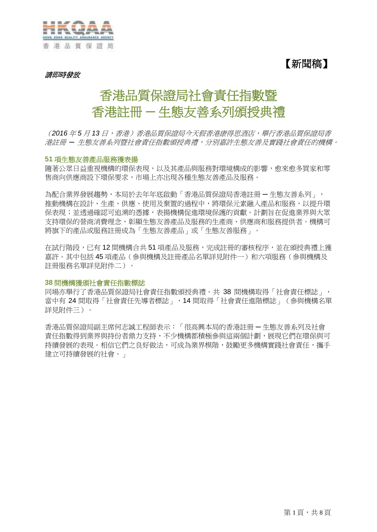

### 請即時發放

## 【新聞稿】

# 香港品質保證局社會責任指數暨 香港註冊 **─** 生態友善系列頒授典禮

(*2016* 年 *5* 月 *13* 日,香港)香港品質保證局今天假香港康得思酒店,舉行香港品質保證局香 港註冊 *─* 生態友善系列暨社會責任指數頒授典禮,分別嘉許生態友善及實踐社會責任的機構。

#### **51** 項生態友善產品服務獲表揚

隨著公眾日益重視機構的環保表現,以及其產品與服務對環境構成的影響,愈來愈多買家和零 售商向供應商設下環保要求,市場上亦出現各種生態友善產品及服務。

為配合業界發展趨勢,本局於去年年底啟動「香港品質保證局香港註冊 ─ 生態友善系列」, 推動機構在設計、生產、供應、使用及棄置的過程中,將環保元素融入產品和服務,以提升環 保表現;並透過確認可追溯的憑據,表揚機構促進環境保護的貢獻。計劃旨在促進業界與大眾 支持環保的營商消費理念,彰顯生態友善產品及服務的生產商、供應商和服務提供者。機構可 將旗下的產品或服務註冊成為「生態友善產品」或「生態友善服務」。

在試行階段,已有 12 間機構合共 51 項產品及服務,完成註冊的審核程序,並在頒授典禮上獲 嘉許。其中包括 45 項產品(參與機構及註冊產品名單詳見附件一)和六項服務(參與機構及 註冊服務名單詳見附件二)。

#### **38** 間機構獲頒社會責任指數標誌

同場亦舉行了香港品質保證局社會責任指數頒授典禮。共 38 間機構取得「社會責任標誌」, 當中有 24 間取得「社會責任先導者標誌」,14 間取得「社會責任進階標誌」(參與機構名單 詳見附件三)。

香港品質保證局副主席何志誠工程師表示:「很高興本局的香港註冊 ─ 生態友善系列及社會 責任指數得到業界與持份者鼎力支持,不少機構都積極參與這兩個計劃,展現它們在環保與可 持續發展的表現。相信它們之良好做法,可成為業界模階,鼓勵更多機構實踐社會責任,攜手 建立可持續發展的社會。」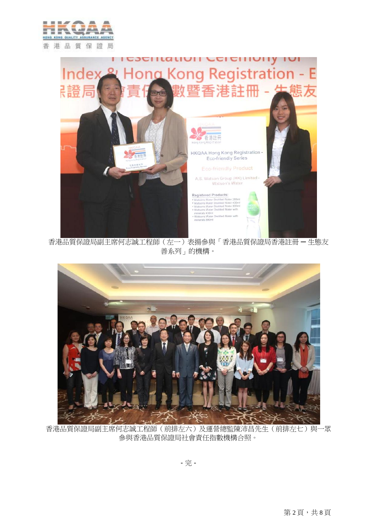



香港品質保證局副主席何志誠工程師(左一)表揚參與「香港品質保證局香港註冊 ─ 生態友 善系列」的機構。



香港品質保證局副主席何志誠工程師(前排左六)及運營總監陳沛昌先生(前排左七)與一眾 參與香港品質保證局社會責任指數機構合照。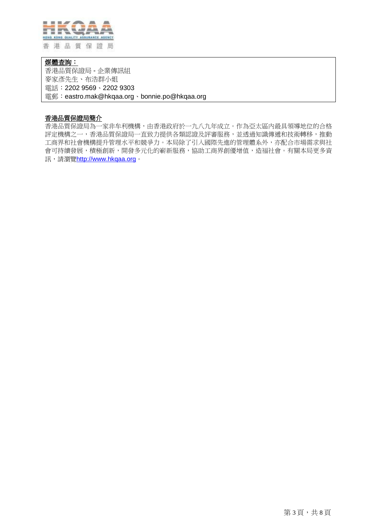

### 媒體查詢:

香港品質保證局 - 企業傳訊組 麥家彥先生、布浩群小姐 電話:2202 9569、2202 9303 電郵: eastro.mak@hkqaa.org、bonnie.po@hkqaa.org

### 香港品質保證局簡介

香港品質保證局為一家非牟利機構,由香港政府於一九八九年成立。作為亞太區內最具領導地位的合格 評定機構之一,香港品質保證局一直致力提供各類認證及評審服務,並透過知識傳遞和技術轉移,推動 工商界和社會機構提升管理水平和競爭力。本局除了引入國際先進的管理體系外,亦配合市場需求與社 會可持續發展,積極創新,開發多元化的嶄新服務,協助工商界創優增值,造福社會。有關本局更多資 訊,請瀏覽[http://www.hkqaa.org](http://www.hkqaa.org/)。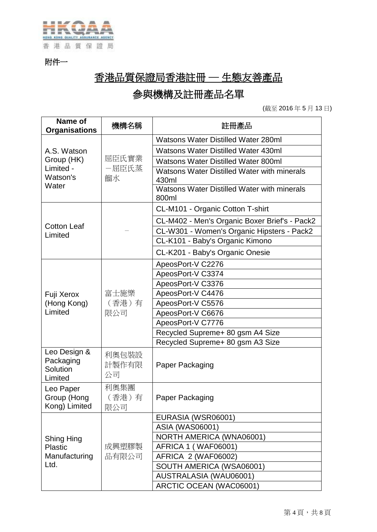

### 附件一

# 香港品質保證局香港註冊 ─ 生態友善產品

## 參與機構及註冊產品名單

(截至 2016 年 5 月 13 日)

| Name of<br><b>Organisations</b>                             | 機構名稱                 | 註冊產品                                                 |
|-------------------------------------------------------------|----------------------|------------------------------------------------------|
| A.S. Watson<br>Group (HK)<br>Limited -<br>Watson's<br>Water | 屈臣氏實業<br>-屈臣氏蒸<br>餾水 | Watsons Water Distilled Water 280ml                  |
|                                                             |                      | <b>Watsons Water Distilled Water 430ml</b>           |
|                                                             |                      | <b>Watsons Water Distilled Water 800ml</b>           |
|                                                             |                      | Watsons Water Distilled Water with minerals<br>430ml |
|                                                             |                      | Watsons Water Distilled Water with minerals<br>800ml |
|                                                             |                      | CL-M101 - Organic Cotton T-shirt                     |
|                                                             |                      | CL-M402 - Men's Organic Boxer Brief's - Pack2        |
| <b>Cotton Leaf</b><br>Limited                               |                      | CL-W301 - Women's Organic Hipsters - Pack2           |
|                                                             |                      | CL-K101 - Baby's Organic Kimono                      |
|                                                             |                      | CL-K201 - Baby's Organic Onesie                      |
|                                                             |                      | ApeosPort-V C2276                                    |
|                                                             |                      | ApeosPort-V C3374                                    |
|                                                             | 富士施樂<br>(香港)有<br>限公司 | ApeosPort-V C3376                                    |
| Fuji Xerox                                                  |                      | ApeosPort-V C4476                                    |
| (Hong Kong)                                                 |                      | ApeosPort-V C5576                                    |
| Limited                                                     |                      | ApeosPort-V C6676                                    |
|                                                             |                      | ApeosPort-V C7776                                    |
|                                                             |                      | Recycled Supreme+ 80 gsm A4 Size                     |
|                                                             |                      | Recycled Supreme+ 80 gsm A3 Size                     |
| Leo Design &<br>Packaging<br>Solution<br>Limited            | 利奧包裝設<br>計製作有限<br>公司 | Paper Packaging                                      |
| Leo Paper<br>Group (Hong<br>Kong) Limited                   | 利奧集團<br>(香港)有<br>限公司 | Paper Packaging                                      |
|                                                             | 成興塑膠製<br>品有限公司       | EURASIA (WSR06001)                                   |
| Shing Hing<br><b>Plastic</b><br>Manufacturing<br>Ltd.       |                      | <b>ASIA (WAS06001)</b>                               |
|                                                             |                      | NORTH AMERICA (WNA06001)                             |
|                                                             |                      | <b>AFRICA 1 (WAF06001)</b>                           |
|                                                             |                      | AFRICA 2 (WAF06002)                                  |
|                                                             |                      | SOUTH AMERICA (WSA06001)                             |
|                                                             |                      | AUSTRALASIA (WAU06001)                               |
|                                                             |                      | ARCTIC OCEAN (WAC06001)                              |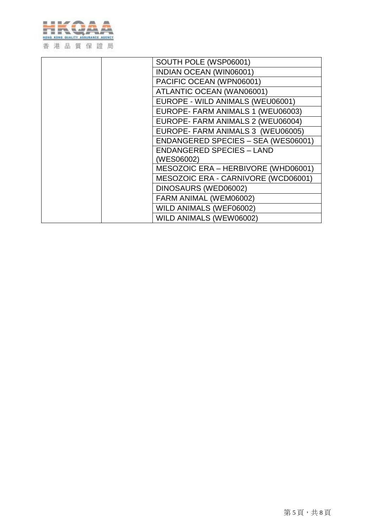

|  | SOUTH POLE (WSP06001)                      |
|--|--------------------------------------------|
|  | <b>INDIAN OCEAN (WIN06001)</b>             |
|  | PACIFIC OCEAN (WPN06001)                   |
|  | ATLANTIC OCEAN (WAN06001)                  |
|  | EUROPE - WILD ANIMALS (WEU06001)           |
|  | EUROPE- FARM ANIMALS 1 (WEU06003)          |
|  | EUROPE- FARM ANIMALS 2 (WEU06004)          |
|  | EUROPE- FARM ANIMALS 3 (WEU06005)          |
|  | <b>ENDANGERED SPECIES - SEA (WES06001)</b> |
|  | <b>ENDANGERED SPECIES - LAND</b>           |
|  | (WES06002)                                 |
|  | MESOZOIC ERA - HERBIVORE (WHD06001)        |
|  | MESOZOIC ERA - CARNIVORE (WCD06001)        |
|  | DINOSAURS (WED06002)                       |
|  | FARM ANIMAL (WEM06002)                     |
|  | WILD ANIMALS (WEF06002)                    |
|  | WILD ANIMALS (WEW06002)                    |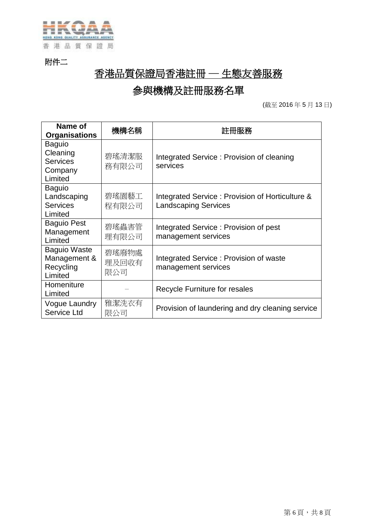

### 附件二

## 香港品質保證局香港註冊 ─ 生態友善服務

## 參與機構及註冊服務名單

(截至 2016 年 5 月 13 日)

| Name of<br><b>Organisations</b>                                    | 機構名稱                  | 註冊服務                                                                            |  |
|--------------------------------------------------------------------|-----------------------|---------------------------------------------------------------------------------|--|
| <b>Baguio</b><br>Cleaning<br><b>Services</b><br>Company<br>Limited | 碧瑤清潔服<br>務有限公司        | Integrated Service: Provision of cleaning<br>services                           |  |
| <b>Baguio</b><br>Landscaping<br><b>Services</b><br>Limited         | 碧瑤園藝工<br>程有限公司        | Integrated Service : Provision of Horticulture &<br><b>Landscaping Services</b> |  |
| <b>Baguio Pest</b><br>Management<br>Limited                        | 碧瑤蟲害管<br>理有限公司        | Integrated Service: Provision of pest<br>management services                    |  |
| <b>Baguio Waste</b><br>Management &<br>Recycling<br>Limited        | 碧瑤廢物處<br>理及回收有<br>限公司 | Integrated Service: Provision of waste<br>management services                   |  |
| Homeniture<br>Limited                                              |                       | Recycle Furniture for resales                                                   |  |
| Vogue Laundry<br>Service Ltd                                       | 雅潔洗衣有<br>限公司          | Provision of laundering and dry cleaning service                                |  |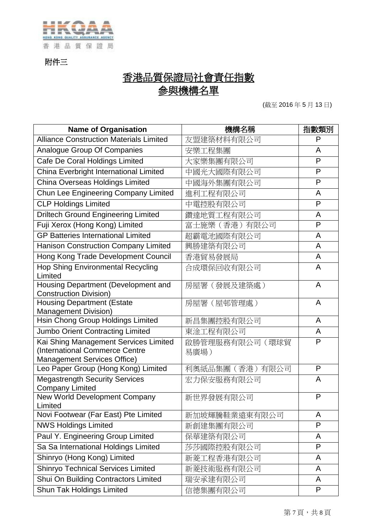

附件三

## 香港品質保證局社會責任指數 參與機構名單

(截至 2016 年 5 月 13 日)

| <b>Name of Organisation</b>                                                                            | 機構名稱                   | 指數類別           |
|--------------------------------------------------------------------------------------------------------|------------------------|----------------|
| <b>Alliance Construction Materials Limited</b>                                                         | 友盟建築材料有限公司             | P              |
| Analogue Group Of Companies                                                                            | 安樂工程集團                 | A              |
| Cafe De Coral Holdings Limited                                                                         | 大家樂集團有限公司              | P              |
| China Everbright International Limited                                                                 | 中國光大國際有限公司             | P              |
| China Overseas Holdings Limited                                                                        | 中國海外集團有限公司             | P              |
| Chun Lee Engineering Company Limited                                                                   | 進利工程有限公司               | A              |
| <b>CLP Holdings Limited</b>                                                                            | 中電控股有限公司               | P              |
| <b>Driltech Ground Engineering Limited</b>                                                             | 鑽達地質工程有限公司             | A              |
| Fuji Xerox (Hong Kong) Limited                                                                         | 富士施樂(香港)有限公司           | P              |
| <b>GP Batteries International Limited</b>                                                              | 超霸電池國際有限公司             | A              |
| Hanison Construction Company Limited                                                                   | 興勝建築有限公司               | A              |
| Hong Kong Trade Development Council                                                                    | 香港貿易發展局                | A              |
| <b>Hop Shing Environmental Recycling</b><br>Limited                                                    | 合成環保回收有限公司             | $\overline{A}$ |
| Housing Department (Development and<br><b>Construction Division)</b>                                   | 房屋署(發展及建築處)            | A              |
| <b>Housing Department (Estate</b><br><b>Management Division)</b>                                       | 房屋署 (屋邨管理處)            | A              |
| Hsin Chong Group Holdings Limited                                                                      | 新昌集團控股有限公司             | A              |
| Jumbo Orient Contracting Limited                                                                       | 東淦工程有限公司               | A              |
| Kai Shing Management Services Limited<br>(International Commerce Centre<br>Management Services Office) | 啟勝管理服務有限公司(環球貿<br>易廣場) | P              |
| Leo Paper Group (Hong Kong) Limited                                                                    | 利奧紙品集團 (香港) 有限公司       | P              |
| <b>Megastrength Security Services</b><br><b>Company Limited</b>                                        | 宏力保安服務有限公司             | A              |
| New World Development Company<br>Limited                                                               | 新世界發展有限公司              | P              |
| Novi Footwear (Far East) Pte Limited                                                                   | 新加坡輝騰鞋業遠東有限公司          | A              |
| <b>NWS Holdings Limited</b>                                                                            | 新創建集團有限公司              | P              |
| Paul Y. Engineering Group Limited                                                                      | 保華建築有限公司               | A              |
| Sa Sa International Holdings Limited                                                                   | 莎莎國際控股有限公司             | P              |
| Shinryo (Hong Kong) Limited                                                                            | 新菱工程香港有限公司             | A              |
| <b>Shinryo Technical Services Limited</b>                                                              | 新菱技術服務有限公司             | A              |
| Shui On Building Contractors Limited                                                                   | 瑞安承建有限公司               | A              |
| Shun Tak Holdings Limited                                                                              | 信德集團有限公司               | P              |